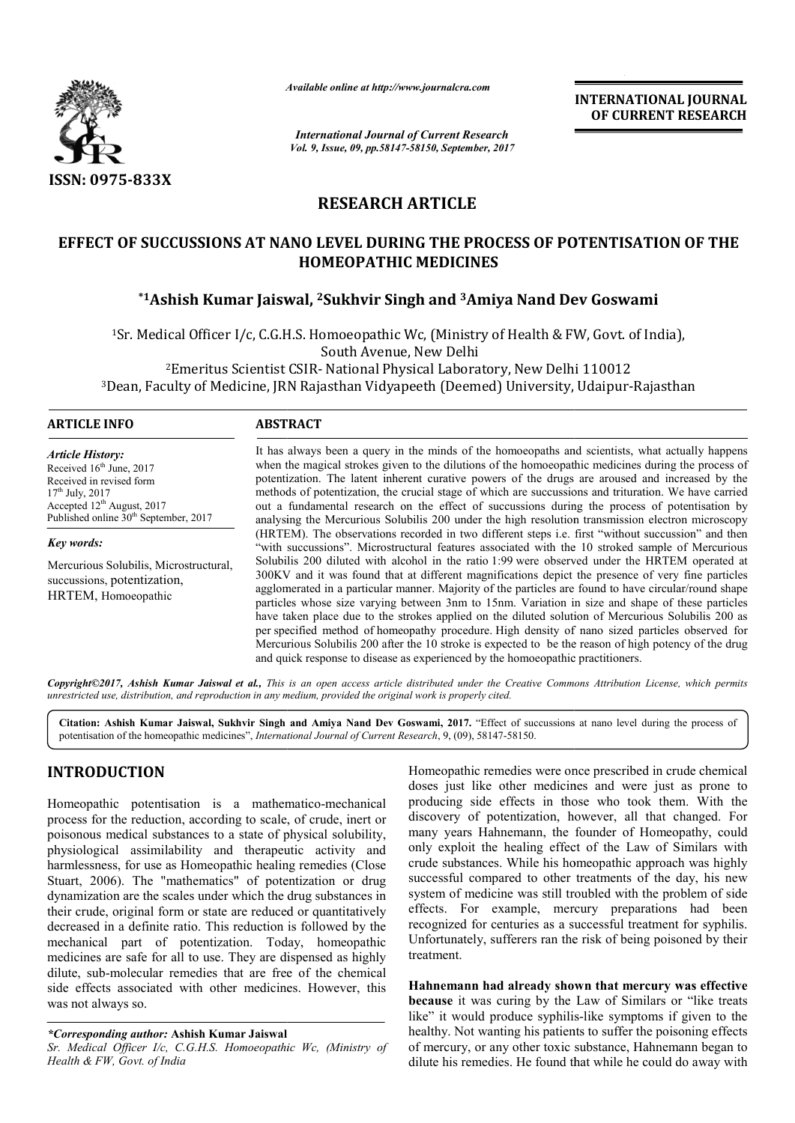

*Available online at http://www.journal http://www.journalcra.com*

*International Journal of Current Research Vol. 9, Issue, 09, pp.58147-58150, September, 2017* **INTERNATIONAL JOURNAL OF CURRENT RESEARCH** 

# **RESEARCH ARTICLE**

# **EFFECT OF SUCCUSSIONS AT NANO LEVEL DURING THE PROCESS OF POTENTISATION OF THE SSIONS HOMEOPATHIC MEDICINES**

# **\*1Ashish Kumar Jaiswal, Ashish 2Sukhvir Singh and 3Amiya Nand Dev Goswami Amiya**

1Sr. Medical Officer I/c, C.G.H.S. Homoeopathic Wc, (Ministry of Health & FW, Govt. of India), 2Emeritus Scientist CSIR Emeritus CSIR- National Physical Laboratory, New Delhi 110012 <sup>1</sup>Sr. Medical Officer I/c, C.G.H.S. Homoeopathic Wc, (Ministry of Health & FW, Govt. of India),<br>South Avenue, New Delhi<br><sup>2</sup>Emeritus Scientist CSIR- National Physical Laboratory, New Delhi 110012<br><sup>3</sup>Dean, Faculty of Medici South Avenue, New Delhi

### **ARTICLE INFO ABSTRACT**

*Article History:* Received 16<sup>th</sup> June, 2017 Received in revised form  $17^{th}$  July,  $2017$ Accepted 12<sup>th</sup> August, 2017 Published online 30<sup>th</sup> September, 2017

*Key words:*

Mercurious Solubilis, Microstructural, succussions, potentization, HRTEM, Homoeopathic

It has always been a query in the minds of the homoeopaths and scientists, what actually happens It has always been a query in the minds of the homoeopaths and scientists, what actually happens when the magical strokes given to the dilutions of the homoeopathic medicines during the process of potentization. The latent inherent curative powers of the drugs are aroused and increased by the methods of potentization, the crucial stage of which are succussions and trituration. We have carried out a fundamental research on the effect of succussions during the process of potentisation by analysing the Mercurious Solubilis 200 under the high resolution transmission electron microscopy (HRTEM). The observations recorded in two different steps i.e. first "without succussion" and then "with succussions". Microstructural features associated with the 10 stroked sample of Mercurious Solubilis 200 diluted with alcohol in the ratio 1:99 were observed under the HRTEM operated at 300KV and it was found that at different magnifications depict the presence agglomerated in a particular manner. Majority of the particles are found to have circular/round shape particles whose size varying between 3nm to 15nm. Variation in size and shape of these particles have taken place due to the strokes applied on the diluted solution of Mercurious Solubilis 200 as per specified method of homeopathy procedure. High density of nano sized particles observed Mercurious Solubilis 200 after the 10 stroke is expected to be the reason of high potency of the drug and quick response to disease as experienced by the homoeopathic practitioners. potentization. The latent inherent curative powers of the drugs are aroused and increased by the methods of potentization, the crucial stage of which are succussions and trituration. We have carried out a fundamental resea (HRTEM). The observations recorded in two different steps i.e. first "without succussion" and then "with succussions". Microstructural features associated with the 10 stroked sample of Mercurious Solubilis 200 diluted with agglomerated in a particular manner. Majority of the particles are found to have circular/round shape<br>particles whose size varying between 3nm to 15nm. Variation in size and shape of these particles<br>have taken place due to

Copyright©2017, Ashish Kumar Jaiswal et al., This is an open access article distributed under the Creative Commons Attribution License, which permits *unrestricted use, distribution, and reproduction in any medium, provided the original work is properly cited.*

Citation: Ashish Kumar Jaiswal, Sukhvir Singh and Amiya Nand Dev Goswami, 2017. "Effect of succussions at nano level during the process of potentisation of the homeopathic medicines", *International Journal of Current Research* , 9, (09), 58147-58150.

## **INTRODUCTION**

Homeopathic potentisation is a mathematico-mechanical process for the reduction, according to scale, of crude, inert or poisonous medical substances to a state of physical solubility, physiological assimilability and therapeutic activity and harmlessness, for use as Homeopathic healing remedies (Close Stuart, 2006). The "mathematics" of potentization or drug dynamization are the scales under which the drug substances in their crude, original form or state are reduced or quantitatively decreased in a definite ratio. This reduction is followed by the mechanical part of potentization. Today, homeopathic medicines are safe for all to use. They are dispensed as highly dilute, sub-molecular remedies that are free of the chemical side effects associated with other medicines. However, this was not always so. For the homeopathic metallistics, *merihalonal boundar of carrent Research*, *9*, (*v9)*, *36147-36130*<br>
UCTION Homeopathic remedies<br>
the potentisation is a mathematico-mechanical<br>
the other producing side effects<br>
the red

*Sr. Medical Officer I/c, C.G.H.S. Homoeopathic Wc, (Ministry of Health & FW, Govt. of India*

Homeopathic remedies were once prescribed in crude chemical doses just like other medicines and were just as prone to producing side effects in those who took them. With the discovery of potentization, however, all that changed. For many years Hahnemann, the founder of Homeopathy, could only exploit the healing effect of the Law of Similars with crude substances. While his homeopathic approach was highly successful compared to other treatments of the day, his new system of medicine was still troubled with the problem of side effects. For example, mercury preparations had been recognized for centuries as a successful treatment for syphilis. recognized for centuries as a successful treatment for syphilis.<br>Unfortunately, sufferers ran the risk of being poisoned by their treatment. like other medicines and were just as prone to side effects in those who took them. With the of potentization, however, all that changed. For ploit the healing effect of the Law of Similars with<br>ubstances. While his homeopathic approach was highly<br>ful compared to other treatments of the day, his new<br>of medicine was still troubled with the problem of side<br>For exa

**Hahnemann had already shown that mercury was effective effective** because it was curing by the Law of Similars or "like treats like" it would produce syphilis-like symptoms if given to the healthy. Not wanting his patients to suffer the poisoning effects of mercury, or any other toxic substance, Hahnemann began to dilute his remedies. He found that while he could do away with y. Not wanting his patients to suffer the poisoning effects<br>cury, or any other toxic substance, Hahnemann began to<br>his remedies. He found that while he could do away with

*<sup>\*</sup>Corresponding author:* **Ashish Kumar Jaiswal**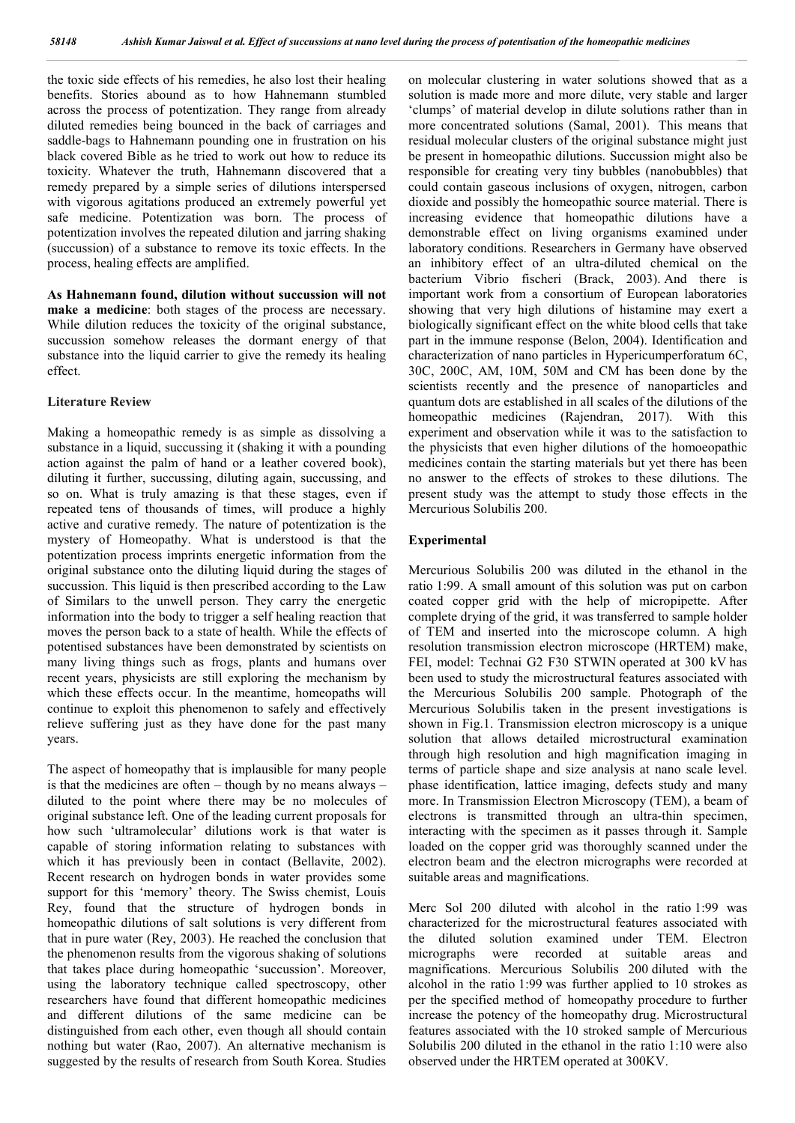the toxic side effects of his remedies, he also lost their healing benefits. Stories abound as to how Hahnemann stumbled across the process of potentization. They range from already diluted remedies being bounced in the back of carriages and saddle-bags to Hahnemann pounding one in frustration on his black covered Bible as he tried to work out how to reduce its toxicity. Whatever the truth, Hahnemann discovered that a remedy prepared by a simple series of dilutions interspersed with vigorous agitations produced an extremely powerful yet safe medicine. Potentization was born. The process of potentization involves the repeated dilution and jarring shaking (succussion) of a substance to remove its toxic effects. In the process, healing effects are amplified.

**As Hahnemann found, dilution without succussion will not make a medicine**: both stages of the process are necessary. While dilution reduces the toxicity of the original substance, succussion somehow releases the dormant energy of that substance into the liquid carrier to give the remedy its healing effect.

#### **Literature Review**

Making a homeopathic remedy is as simple as dissolving a substance in a liquid, succussing it (shaking it with a pounding action against the palm of hand or a leather covered book), diluting it further, succussing, diluting again, succussing, and so on. What is truly amazing is that these stages, even if repeated tens of thousands of times, will produce a highly active and curative remedy. The nature of potentization is the mystery of Homeopathy. What is understood is that the potentization process imprints energetic information from the original substance onto the diluting liquid during the stages of succussion. This liquid is then prescribed according to the Law of Similars to the unwell person. They carry the energetic information into the body to trigger a self healing reaction that moves the person back to a state of health. While the effects of potentised substances have been demonstrated by scientists on many living things such as frogs, plants and humans over recent years, physicists are still exploring the mechanism by which these effects occur. In the meantime, homeopaths will continue to exploit this phenomenon to safely and effectively relieve suffering just as they have done for the past many years.

The aspect of homeopathy that is implausible for many people is that the medicines are often – though by no means always – diluted to the point where there may be no molecules of original substance left. One of the leading current proposals for how such 'ultramolecular' dilutions work is that water is capable of storing information relating to substances with which it has previously been in contact (Bellavite, 2002). Recent research on hydrogen bonds in water provides some support for this 'memory' theory. The Swiss chemist, Louis Rey, found that the structure of hydrogen bonds in homeopathic dilutions of salt solutions is very different from that in pure water (Rey, 2003). He reached the conclusion that the phenomenon results from the vigorous shaking of solutions that takes place during homeopathic 'succussion'. Moreover, using the laboratory technique called spectroscopy, other researchers have found that different homeopathic medicines and different dilutions of the same medicine can be distinguished from each other, even though all should contain nothing but water (Rao, 2007). An alternative mechanism is suggested by the results of research from South Korea. Studies

on molecular clustering in water solutions showed that as a solution is made more and more dilute, very stable and larger 'clumps' of material develop in dilute solutions rather than in more concentrated solutions (Samal, 2001). This means that residual molecular clusters of the original substance might just be present in homeopathic dilutions. Succussion might also be responsible for creating very tiny bubbles (nanobubbles) that could contain gaseous inclusions of oxygen, nitrogen, carbon dioxide and possibly the homeopathic source material. There is increasing evidence that homeopathic dilutions have a demonstrable effect on living organisms examined under laboratory conditions. Researchers in Germany have observed an inhibitory effect of an ultra-diluted chemical on the bacterium Vibrio fischeri (Brack, 2003). And there is important work from a consortium of European laboratories showing that very high dilutions of histamine may exert a biologically significant effect on the white blood cells that take part in the immune response (Belon, 2004). Identification and characterization of nano particles in Hypericumperforatum 6C, 30C, 200C, AM, 10M, 50M and CM has been done by the scientists recently and the presence of nanoparticles and quantum dots are established in all scales of the dilutions of the homeopathic medicines (Rajendran, 2017). With this experiment and observation while it was to the satisfaction to the physicists that even higher dilutions of the homoeopathic medicines contain the starting materials but yet there has been no answer to the effects of strokes to these dilutions. The present study was the attempt to study those effects in the Mercurious Solubilis 200.

#### **Experimental**

Mercurious Solubilis 200 was diluted in the ethanol in the ratio 1:99. A small amount of this solution was put on carbon coated copper grid with the help of micropipette. After complete drying of the grid, it was transferred to sample holder of TEM and inserted into the microscope column. A high resolution transmission electron microscope (HRTEM) make, FEI, model: Technai G2 F30 STWIN operated at 300 kV has been used to study the microstructural features associated with the Mercurious Solubilis 200 sample. Photograph of the Mercurious Solubilis taken in the present investigations is shown in Fig.1. Transmission electron microscopy is a unique solution that allows detailed microstructural examination through high resolution and high magnification imaging in terms of particle shape and size analysis at nano scale level. phase identification, lattice imaging, defects study and many more. In Transmission Electron Microscopy (TEM), a beam of electrons is transmitted through an ultra-thin specimen, interacting with the specimen as it passes through it. Sample loaded on the copper grid was thoroughly scanned under the electron beam and the electron micrographs were recorded at suitable areas and magnifications.

Merc Sol 200 diluted with alcohol in the ratio 1:99 was characterized for the microstructural features associated with the diluted solution examined under TEM. Electron micrographs were recorded at suitable areas and magnifications. Mercurious Solubilis 200 diluted with the alcohol in the ratio 1:99 was further applied to 10 strokes as per the specified method of homeopathy procedure to further increase the potency of the homeopathy drug. Microstructural features associated with the 10 stroked sample of Mercurious Solubilis 200 diluted in the ethanol in the ratio 1:10 were also observed under the HRTEM operated at 300KV.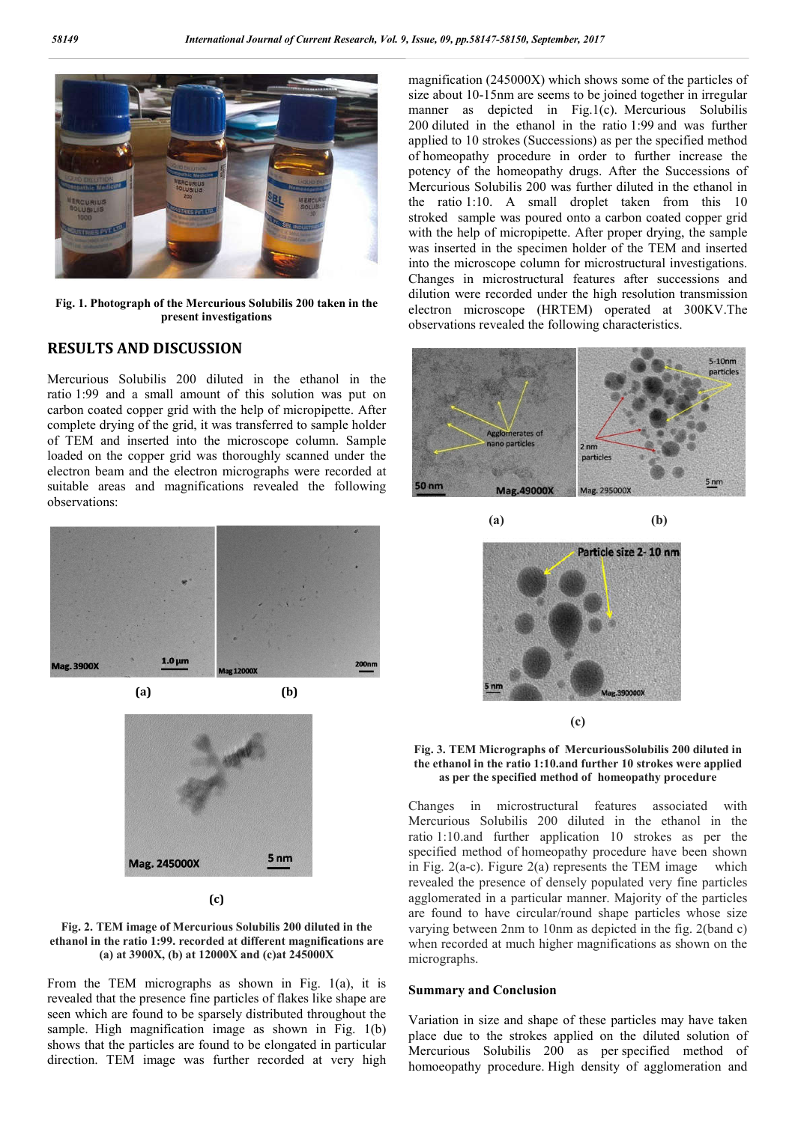

**Fig. 1. Photograph of the Mercurious Solubilis 200 taken in the present investigations**

#### **RESULTS AND DISCUSSION**

Mercurious Solubilis 200 diluted in the ethanol in the ratio 1:99 and a small amount of this solution was put on carbon coated copper grid with the help of micropipette. After complete drying of the grid, it was transferred to sample holder of TEM and inserted into the microscope column. Sample loaded on the copper grid was thoroughly scanned under the electron beam and the electron micrographs were recorded at suitable areas and magnifications revealed the following observations:



5<sub>nm</sub> Mag. 245000X

**(c)**



From the TEM micrographs as shown in Fig. 1(a), it is revealed that the presence fine particles of flakes like shape are seen which are found to be sparsely distributed throughout the sample. High magnification image as shown in Fig. 1(b) shows that the particles are found to be elongated in particular direction. TEM image was further recorded at very high

magnification (245000X) which shows some of the particles of size about 10-15nm are seems to be joined together in irregular manner as depicted in Fig.1(c). Mercurious Solubilis 200 diluted in the ethanol in the ratio 1:99 and was further applied to 10 strokes (Successions) as per the specified method of homeopathy procedure in order to further increase the potency of the homeopathy drugs. After the Successions of Mercurious Solubilis 200 was further diluted in the ethanol in the ratio 1:10. A small droplet taken from this 10 stroked sample was poured onto a carbon coated copper grid with the help of micropipette. After proper drying, the sample was inserted in the specimen holder of the TEM and inserted into the microscope column for microstructural investigations. Changes in microstructural features after successions and dilution were recorded under the high resolution transmission electron microscope (HRTEM) operated at 300KV.The observations revealed the following characteristics.





**(c)**

#### **Fig. 3. TEM Micrographs of MercuriousSolubilis 200 diluted in the ethanol in the ratio 1:10.and further 10 strokes were applied as per the specified method of homeopathy procedure**

Changes in microstructural features associated with Mercurious Solubilis 200 diluted in the ethanol in the ratio 1:10.and further application 10 strokes as per the specified method of homeopathy procedure have been shown in Fig.  $2(a-c)$ . Figure  $2(a)$  represents the TEM image which revealed the presence of densely populated very fine particles agglomerated in a particular manner. Majority of the particles are found to have circular/round shape particles whose size varying between 2nm to 10nm as depicted in the fig. 2(band c) when recorded at much higher magnifications as shown on the micrographs.

#### **Summary and Conclusion**

Variation in size and shape of these particles may have taken place due to the strokes applied on the diluted solution of Mercurious Solubilis 200 as per specified method of homoeopathy procedure. High density of agglomeration and